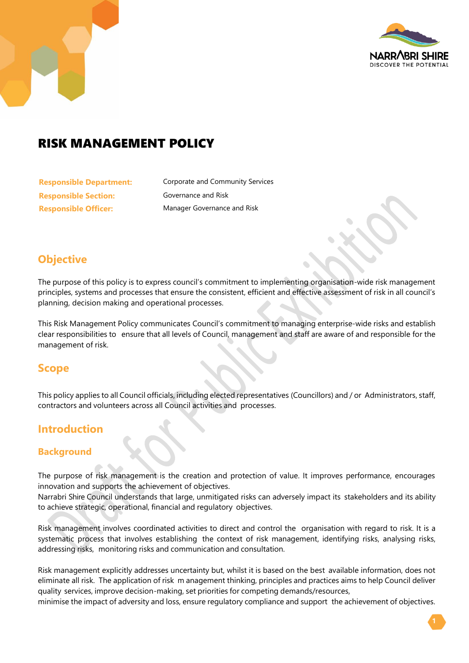

# RISK MANAGEMENT POLICY

**Responsible Section:** Governance and Risk **Responsible Officer:** Manager Governance and Risk

**Responsible Department:** Corporate and Community Services

## **Objective**

The purpose of this policy is to express council's commitment to implementing organisation-wide risk management principles, systems and processes that ensure the consistent, efficient and effective assessment of risk in all council's planning, decision making and operational processes.

This Risk Management Policy communicates Council's commitment to managing enterprise-wide risks and establish clear responsibilities to ensure that all levels of Council, management and staff are aware of and responsible for the management of risk.

## **Scope**

This policy applies to all Council officials, including elected representatives (Councillors) and / or Administrators, staff, contractors and volunteers across all Council activities and processes.

## **Introduction**

#### **Background**

The purpose of risk management is the creation and protection of value. It improves performance, encourages innovation and supports the achievement of objectives.

Narrabri Shire Council understands that large, unmitigated risks can adversely impact its stakeholders and its ability to achieve strategic, operational, financial and regulatory objectives.

Risk management involves coordinated activities to direct and control the organisation with regard to risk. It is a systematic process that involves establishing the context of risk management, identifying risks, analysing risks, addressing risks, monitoring risks and communication and consultation.

Risk management explicitly addresses uncertainty but, whilst it is based on the best available information, does not eliminate all risk. The application of risk m anagement thinking, principles and practices aims to help Council deliver quality services, improve decision-making, set priorities for competing demands/resources,

minimise the impact of adversity and loss, ensure regulatory compliance and support the achievement of objectives.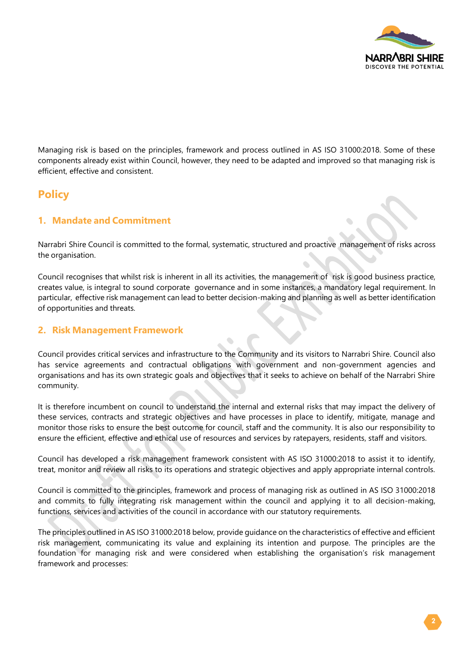

Managing risk is based on the principles, framework and process outlined in AS ISO 31000:2018. Some of these components already exist within Council, however, they need to be adapted and improved so that managing risk is efficient, effective and consistent.

## **Policy**

#### **1. Mandate and Commitment**

Narrabri Shire Council is committed to the formal, systematic, structured and proactive management of risks across the organisation.

Council recognises that whilst risk is inherent in all its activities, the management of risk is good business practice, creates value, is integral to sound corporate governance and in some instances, a mandatory legal requirement. In particular, effective risk management can lead to better decision-making and planning as well as better identification of opportunities and threats.

#### **2. Risk Management Framework**

Council provides critical services and infrastructure to the Community and its visitors to Narrabri Shire. Council also has service agreements and contractual obligations with government and non-government agencies and organisations and has its own strategic goals and objectives that it seeks to achieve on behalf of the Narrabri Shire community.

It is therefore incumbent on council to understand the internal and external risks that may impact the delivery of these services, contracts and strategic objectives and have processes in place to identify, mitigate, manage and monitor those risks to ensure the best outcome for council, staff and the community. It is also our responsibility to ensure the efficient, effective and ethical use of resources and services by ratepayers, residents, staff and visitors.

Council has developed a risk management framework consistent with AS ISO 31000:2018 to assist it to identify, treat, monitor and review all risks to its operations and strategic objectives and apply appropriate internal controls.

Council is committed to the principles, framework and process of managing risk as outlined in AS ISO 31000:2018 and commits to fully integrating risk management within the council and applying it to all decision-making, functions, services and activities of the council in accordance with our statutory requirements.

The principles outlined in AS ISO 31000:2018 below, provide guidance on the characteristics of effective and efficient risk management, communicating its value and explaining its intention and purpose. The principles are the foundation for managing risk and were considered when establishing the organisation's risk management framework and processes: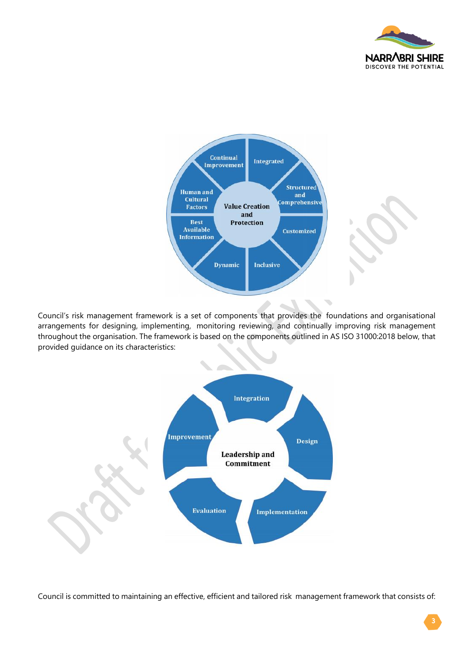



Council's risk management framework is a set of components that provides the foundations and organisational arrangements for designing, implementing, monitoring reviewing, and continually improving risk management throughout the organisation. The framework is based on the components outlined in AS ISO 31000:2018 below, that provided guidance on its characteristics:



Council is committed to maintaining an effective, efficient and tailored risk management framework that consists of: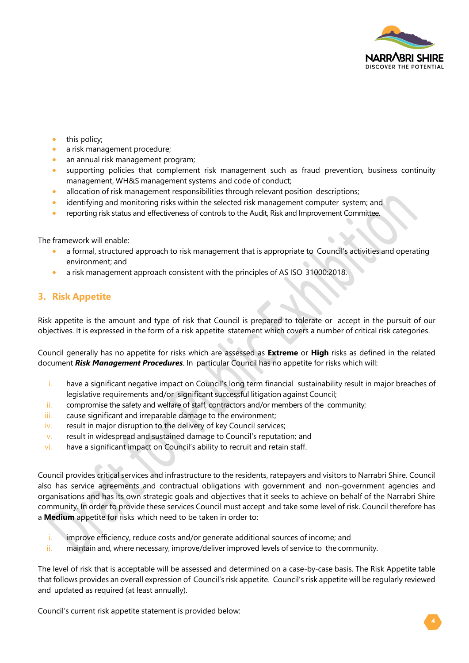

- this policy;
- a risk management procedure;
- an annual risk management program;
- supporting policies that complement risk management such as fraud prevention, business continuity management, WH&S management systems and code of conduct;
- allocation of risk management responsibilities through relevant position descriptions;
- identifying and monitoring risks within the selected risk management computer system; and
- reporting risk status and effectiveness of controls to the Audit, Risk and Improvement Committee.

The framework will enable:

- a formal, structured approach to risk management that is appropriate to Council's activities and operating environment; and
- a risk management approach consistent with the principles of AS ISO 31000:2018.

#### **3. Risk Appetite**

Risk appetite is the amount and type of risk that Council is prepared to tolerate or accept in the pursuit of our objectives. It is expressed in the form of a risk appetite statement which covers a number of critical risk categories.

Council generally has no appetite for risks which are assessed as **Extreme** or **High** risks as defined in the related document *Risk Management Procedures*. In particular Council has no appetite for risks which will:

- i. have a significant negative impact on Council's long term financial sustainability result in major breaches of legislative requirements and/or significant successful litigation against Council;
- ii. compromise the safety and welfare of staff, contractors and/or members of the community;
- iii. cause significant and irreparable damage to the environment;
- iv. result in major disruption to the delivery of key Council services;
- v. result in widespread and sustained damage to Council's reputation; and
- vi. have a significant impact on Council's ability to recruit and retain staff.

Council provides critical services and infrastructure to the residents, ratepayers and visitors to Narrabri Shire. Council also has service agreements and contractual obligations with government and non-government agencies and organisations and has its own strategic goals and objectives that it seeks to achieve on behalf of the Narrabri Shire community. In order to provide these services Council must accept and take some level of risk. Council therefore has a **Medium** appetite for risks which need to be taken in order to:

- $i.$  improve efficiency, reduce costs and/or generate additional sources of income; and
- ii. maintain and, where necessary, improve/deliver improved levels of service to the community.

The level of risk that is acceptable will be assessed and determined on a case-by-case basis. The Risk Appetite table that follows provides an overall expression of Council's risk appetite. Council's risk appetite will be regularly reviewed and updated as required (at least annually).

Council's current risk appetite statement is provided below: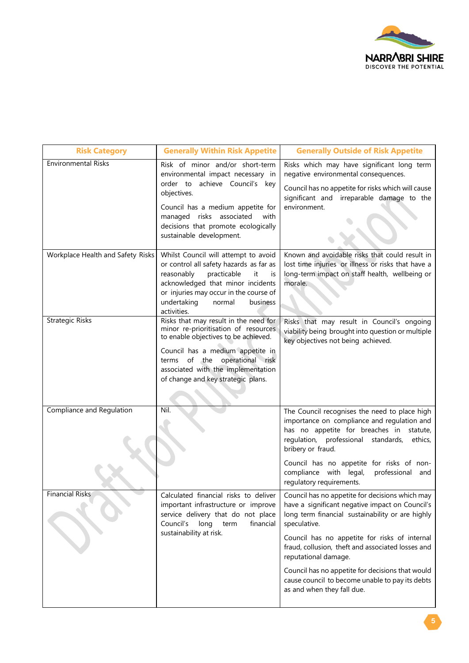

| <b>Risk Category</b>              | <b>Generally Within Risk Appetite</b>                                                                                                                                                                                                                                     | <b>Generally Outside of Risk Appetite</b>                                                                                                                                                                                                                                                                                                                                                                                                 |
|-----------------------------------|---------------------------------------------------------------------------------------------------------------------------------------------------------------------------------------------------------------------------------------------------------------------------|-------------------------------------------------------------------------------------------------------------------------------------------------------------------------------------------------------------------------------------------------------------------------------------------------------------------------------------------------------------------------------------------------------------------------------------------|
| <b>Environmental Risks</b>        | Risk of minor and/or short-term<br>environmental impact necessary in<br>order to achieve Council's key<br>objectives.<br>Council has a medium appetite for<br>managed risks associated<br>with<br>decisions that promote ecologically<br>sustainable development.         | Risks which may have significant long term<br>negative environmental consequences.<br>Council has no appetite for risks which will cause<br>significant and irreparable damage to the<br>environment.                                                                                                                                                                                                                                     |
| Workplace Health and Safety Risks | Whilst Council will attempt to avoid<br>or control all safety hazards as far as<br>reasonably<br>practicable<br>it<br>is<br>acknowledged that minor incidents<br>or injuries may occur in the course of<br>undertaking<br>normal<br>business<br>activities.               | Known and avoidable risks that could result in<br>lost time injuries or illness or risks that have a<br>long-term impact on staff health, wellbeing or<br>morale.                                                                                                                                                                                                                                                                         |
| <b>Strategic Risks</b>            | Risks that may result in the need for<br>minor re-prioritisation of resources<br>to enable objectives to be achieved.<br>Council has a medium appetite in<br>operational risk<br>terms of the<br>associated with the implementation<br>of change and key strategic plans. | Risks that may result in Council's ongoing<br>viability being brought into question or multiple<br>key objectives not being achieved.                                                                                                                                                                                                                                                                                                     |
| Compliance and Regulation         | Nil.                                                                                                                                                                                                                                                                      | The Council recognises the need to place high<br>importance on compliance and regulation and<br>has no appetite for breaches in<br>statute,<br>regulation, professional standards,<br>ethics,<br>bribery or fraud.<br>Council has no appetite for risks of non-<br>compliance with legal,<br>professional<br>and<br>regulatory requirements.                                                                                              |
| <b>Financial Risks</b>            | Calculated financial risks to deliver<br>important infrastructure or improve<br>service delivery that do not place<br>Council's long term<br>financial<br>sustainability at risk.                                                                                         | Council has no appetite for decisions which may<br>have a significant negative impact on Council's<br>long term financial sustainability or are highly<br>speculative.<br>Council has no appetite for risks of internal<br>fraud, collusion, theft and associated losses and<br>reputational damage.<br>Council has no appetite for decisions that would<br>cause council to become unable to pay its debts<br>as and when they fall due. |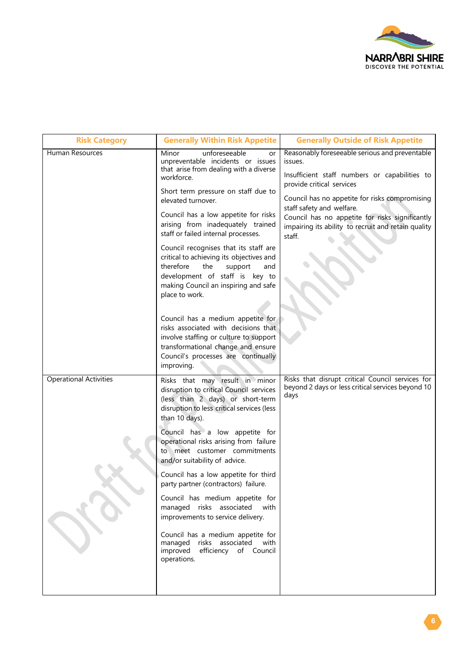

| <b>Risk Category</b>          | <b>Generally Within Risk Appetite</b>                                                                                                                                                                                                                               | <b>Generally Outside of Risk Appetite</b>                                                                                                                                                                                                                                                                                        |
|-------------------------------|---------------------------------------------------------------------------------------------------------------------------------------------------------------------------------------------------------------------------------------------------------------------|----------------------------------------------------------------------------------------------------------------------------------------------------------------------------------------------------------------------------------------------------------------------------------------------------------------------------------|
| <b>Human Resources</b>        | unforeseeable<br>Minor<br>or<br>unpreventable incidents or issues<br>that arise from dealing with a diverse<br>workforce.<br>Short term pressure on staff due to<br>elevated turnover.<br>Council has a low appetite for risks<br>arising from inadequately trained | Reasonably foreseeable serious and preventable<br>issues.<br>Insufficient staff numbers or capabilities to<br>provide critical services<br>Council has no appetite for risks compromising<br>staff safety and welfare.<br>Council has no appetite for risks significantly<br>impairing its ability to recruit and retain quality |
|                               | staff or failed internal processes.<br>Council recognises that its staff are<br>critical to achieving its objectives and<br>therefore<br>the<br>support<br>and<br>development of staff is key to<br>making Council an inspiring and safe<br>place to work.          | staff.                                                                                                                                                                                                                                                                                                                           |
|                               | Council has a medium appetite for<br>risks associated with decisions that<br>involve staffing or culture to support<br>transformational change and ensure<br>Council's processes are continually<br>improving.                                                      |                                                                                                                                                                                                                                                                                                                                  |
| <b>Operational Activities</b> | Risks that may result in minor<br>disruption to critical Council services<br>(less than 2 days) or short-term<br>disruption to less critical services (less<br>than 10 days).                                                                                       | Risks that disrupt critical Council services for<br>beyond 2 days or less critical services beyond 10<br>days                                                                                                                                                                                                                    |
|                               | Council has a low appetite for<br>operational risks arising from failure<br>to meet customer commitments<br>and/or suitability of advice.                                                                                                                           |                                                                                                                                                                                                                                                                                                                                  |
|                               | Council has a low appetite for third<br>party partner (contractors) failure.                                                                                                                                                                                        |                                                                                                                                                                                                                                                                                                                                  |
|                               | Council has medium appetite for<br>managed risks associated<br>with<br>improvements to service delivery.                                                                                                                                                            |                                                                                                                                                                                                                                                                                                                                  |
|                               | Council has a medium appetite for<br>managed risks associated<br>with<br>improved<br>efficiency of Council<br>operations.                                                                                                                                           |                                                                                                                                                                                                                                                                                                                                  |
|                               |                                                                                                                                                                                                                                                                     |                                                                                                                                                                                                                                                                                                                                  |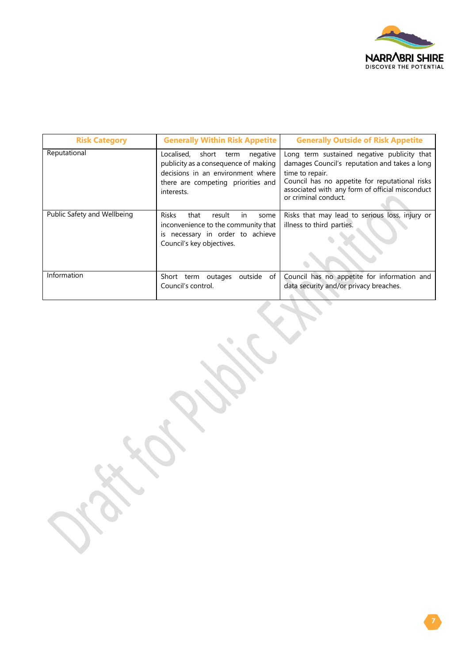

| <b>Risk Category</b>        | <b>Generally Within Risk Appetite</b>                                                                                                                              | <b>Generally Outside of Risk Appetite</b>                                                                                                                                                                                                    |
|-----------------------------|--------------------------------------------------------------------------------------------------------------------------------------------------------------------|----------------------------------------------------------------------------------------------------------------------------------------------------------------------------------------------------------------------------------------------|
| Reputational                | Localised, short term<br>negative<br>publicity as a consequence of making<br>decisions in an environment where<br>there are competing priorities and<br>interests. | Long term sustained negative publicity that<br>damages Council's reputation and takes a long<br>time to repair.<br>Council has no appetite for reputational risks<br>associated with any form of official misconduct<br>or criminal conduct. |
| Public Safety and Wellbeing | <b>Risks</b><br>that<br>result<br><i>in</i><br>some<br>inconvenience to the community that<br>is necessary in order to achieve<br>Council's key objectives.        | Risks that may lead to serious loss, injury or<br>illness to third parties.                                                                                                                                                                  |
| Information                 | of<br>Short term outages<br>outside<br>Council's control.                                                                                                          | Council has no appetite for information and<br>data security and/or privacy breaches.                                                                                                                                                        |

 $\bullet$ 

 $\mathcal{A}$ 

 $\mathcal{L}_{\mathcal{A}}$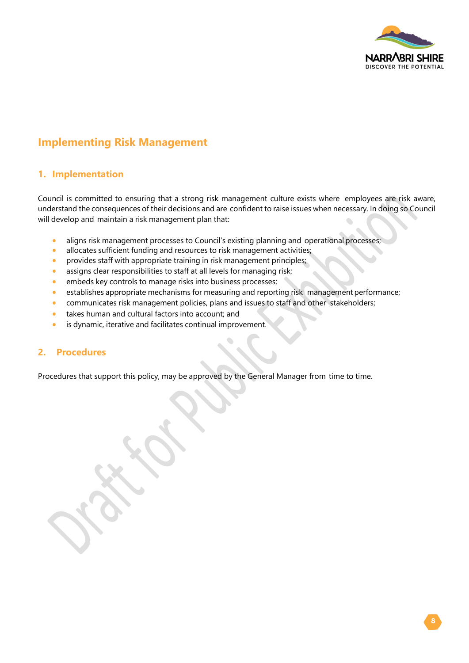

## **Implementing Risk Management**

#### **1. Implementation**

Council is committed to ensuring that a strong risk management culture exists where employees are risk aware, understand the consequences of their decisions and are confident to raise issues when necessary. In doing so Council will develop and maintain a risk management plan that:

- aligns risk management processes to Council's existing planning and operational processes;
- allocates sufficient funding and resources to risk management activities;
- provides staff with appropriate training in risk management principles;
- assigns clear responsibilities to staff at all levels for managing risk;
- embeds key controls to manage risks into business processes;
- establishes appropriate mechanisms for measuring and reporting risk management performance;
- communicates risk management policies, plans and issues to staff and other stakeholders;
- takes human and cultural factors into account; and
- is dynamic, iterative and facilitates continual improvement.

#### **2. Procedures**

Procedures that support this policy, may be approved by the General Manager from time to time.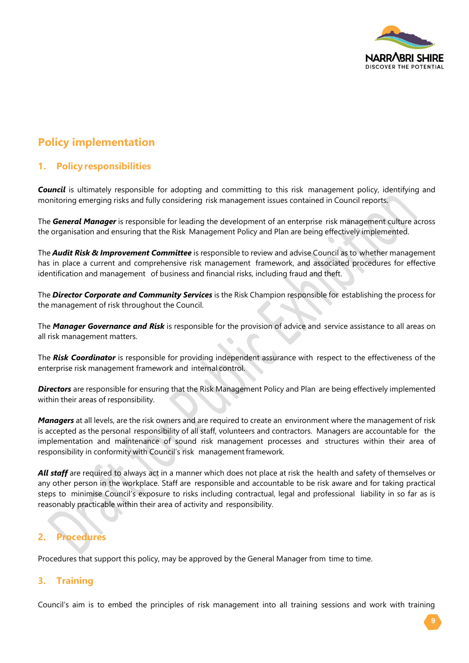

# **Policy implementation**

#### **1. Policy responsibilities**

*Council* is ultimately responsible for adopting and committing to this risk management policy, identifying and monitoring emerging risks and fully considering risk management issues contained in Council reports.

The *General Manager* is responsible for leading the development of an enterprise risk management culture across the organisation and ensuring that the Risk Management Policy and Plan are being effectively implemented.

The *Audit Risk & Improvement Committee* is responsible to review and advise Council as to whether management has in place a current and comprehensive risk management framework, and associated procedures for effective identification and management of business and financial risks, including fraud and theft.

The *Director Corporate and Community Services* is the Risk Champion responsible for establishing the process for the management of risk throughout the Council.

The *Manager Governance and Risk* is responsible for the provision of advice and service assistance to all areas on all risk management matters.

The *Risk Coordinator* is responsible for providing independent assurance with respect to the effectiveness of the enterprise risk management framework and internal control.

*Directors* are responsible for ensuring that the Risk Management Policy and Plan are being effectively implemented within their areas of responsibility.

*Managers* at all levels, are the risk owners and are required to create an environment where the management of risk is accepted as the personal responsibility of all staff, volunteers and contractors. Managers are accountable for the implementation and maintenance of sound risk management processes and structures within their area of responsibility in conformity with Council's risk management framework.

*All staff* are required to always act in a manner which does not place at risk the health and safety of themselves or any other person in the workplace. Staff are responsible and accountable to be risk aware and for taking practical steps to minimise Council's exposure to risks including contractual, legal and professional liability in so far as is reasonably practicable within their area of activity and responsibility.

## **2. Procedures**

Procedures that support this policy, may be approved by the General Manager from time to time.

#### **3. Training**

Council's aim is to embed the principles of risk management into all training sessions and work with training